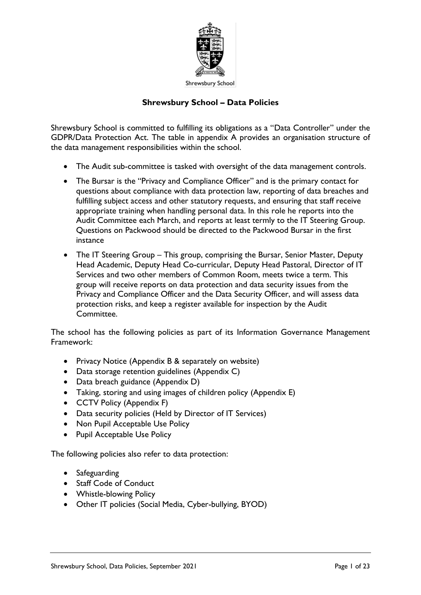

## **Shrewsbury School – Data Policies**

Shrewsbury School is committed to fulfilling its obligations as a "Data Controller" under the GDPR/Data Protection Act. The table in appendix A provides an organisation structure of the data management responsibilities within the school.

- The Audit sub-committee is tasked with oversight of the data management controls.
- The Bursar is the "Privacy and Compliance Officer" and is the primary contact for questions about compliance with data protection law, reporting of data breaches and fulfilling subject access and other statutory requests, and ensuring that staff receive appropriate training when handling personal data. In this role he reports into the Audit Committee each March, and reports at least termly to the IT Steering Group. Questions on Packwood should be directed to the Packwood Bursar in the first instance
- The IT Steering Group This group, comprising the Bursar, Senior Master, Deputy Head Academic, Deputy Head Co-curricular, Deputy Head Pastoral, Director of IT Services and two other members of Common Room, meets twice a term. This group will receive reports on data protection and data security issues from the Privacy and Compliance Officer and the Data Security Officer, and will assess data protection risks, and keep a register available for inspection by the Audit Committee.

The school has the following policies as part of its Information Governance Management Framework:

- Privacy Notice (Appendix B & separately on website)
- Data storage retention guidelines (Appendix C)
- Data breach guidance (Appendix D)
- Taking, storing and using images of children policy (Appendix E)
- CCTV Policy (Appendix F)
- Data security policies (Held by Director of IT Services)
- Non Pupil Acceptable Use Policy
- Pupil Acceptable Use Policy

The following policies also refer to data protection:

- Safeguarding
- Staff Code of Conduct
- Whistle-blowing Policy
- Other IT policies (Social Media, Cyber-bullying, BYOD)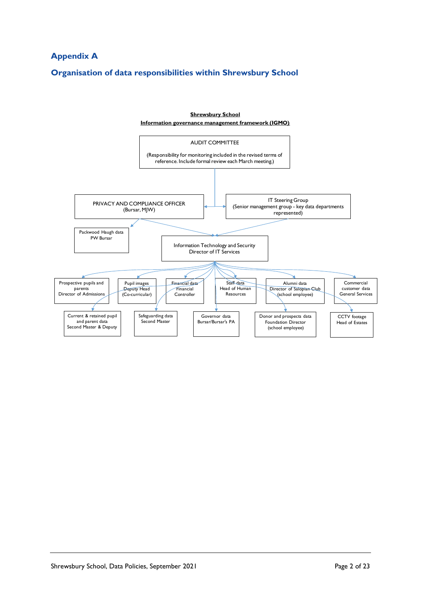# **Appendix A**

## **Organisation of data responsibilities within Shrewsbury School**

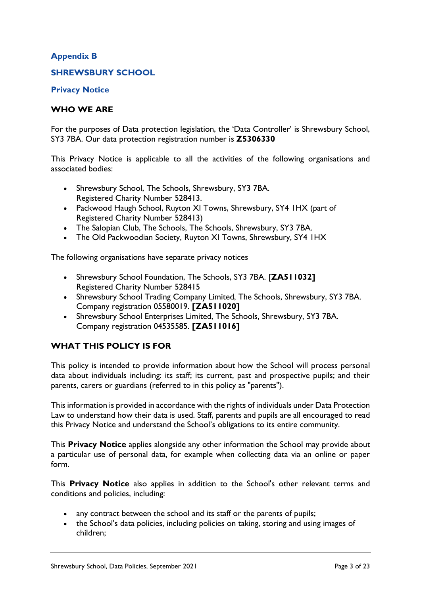## **Appendix B**

## **SHREWSBURY SCHOOL**

**Privacy Notice**

#### **WHO WE ARE**

For the purposes of Data protection legislation, the 'Data Controller' is Shrewsbury School, SY3 7BA. Our data protection registration number is **Z5306330**

This Privacy Notice is applicable to all the activities of the following organisations and associated bodies:

- Shrewsbury School, The Schools, Shrewsbury, SY3 7BA. Registered Charity Number 528413.
- Packwood Haugh School, Ruyton XI Towns, Shrewsbury, SY4 1HX (part of Registered Charity Number 528413)
- The Salopian Club, The Schools, The Schools, Shrewsbury, SY3 7BA.
- The Old Packwoodian Society, Ruyton XI Towns, Shrewsbury, SY4 IHX

The following organisations have separate privacy notices

- Shrewsbury School Foundation, The Schools, SY3 7BA. [**ZA511032]** Registered Charity Number 528415
- Shrewsbury School Trading Company Limited, The Schools, Shrewsbury, SY3 7BA. Company registration 05580019. **[ZA511020]**
- Shrewsbury School Enterprises Limited, The Schools, Shrewsbury, SY3 7BA. Company registration 04535585. **[ZA511016]**

## **WHAT THIS POLICY IS FOR**

This policy is intended to provide information about how the School will process personal data about individuals including: its staff; its current, past and prospective pupils; and their parents, carers or guardians (referred to in this policy as "parents").

This information is provided in accordance with the rights of individuals under Data Protection Law to understand how their data is used. Staff, parents and pupils are all encouraged to read this Privacy Notice and understand the School's obligations to its entire community.

This **Privacy Notice** applies alongside any other information the School may provide about a particular use of personal data, for example when collecting data via an online or paper form.

This **Privacy Notice** also applies in addition to the School's other relevant terms and conditions and policies, including:

- any contract between the school and its staff or the parents of pupils;
- the School's data policies, including policies on taking, storing and using images of children;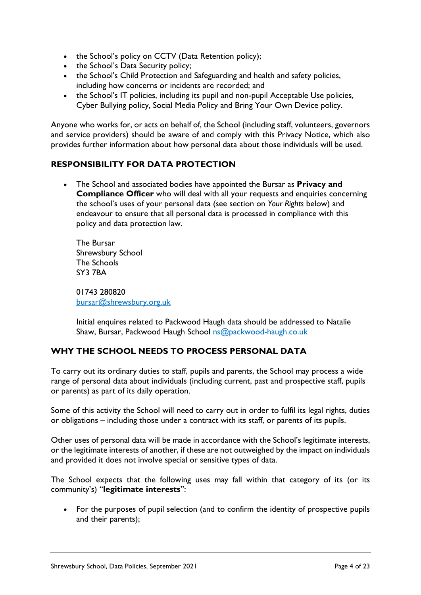- the School's policy on CCTV (Data Retention policy);
- the School's Data Security policy;
- the School's Child Protection and Safeguarding and health and safety policies, including how concerns or incidents are recorded; and
- the School's IT policies, including its pupil and non-pupil Acceptable Use policies, Cyber Bullying policy, Social Media Policy and Bring Your Own Device policy.

Anyone who works for, or acts on behalf of, the School (including staff, volunteers, governors and service providers) should be aware of and comply with this Privacy Notice, which also provides further information about how personal data about those individuals will be used.

## **RESPONSIBILITY FOR DATA PROTECTION**

• The School and associated bodies have appointed the Bursar as **Privacy and Compliance Officer** who will deal with all your requests and enquiries concerning the school's uses of your personal data (see section on *Your Rights* below) and endeavour to ensure that all personal data is processed in compliance with this policy and data protection law.

The Bursar Shrewsbury School The Schools SY3 7BA

01743 280820 [bursar@shrewsbury.org.uk](mailto:bursar@shrewsbury.org.uk)

Initial enquires related to Packwood Haugh data should be addressed to Natalie Shaw, Bursar, Packwood Haugh School ns@packwood-haugh.co.uk

## **WHY THE SCHOOL NEEDS TO PROCESS PERSONAL DATA**

To carry out its ordinary duties to staff, pupils and parents, the School may process a wide range of personal data about individuals (including current, past and prospective staff, pupils or parents) as part of its daily operation.

Some of this activity the School will need to carry out in order to fulfil its legal rights, duties or obligations – including those under a contract with its staff, or parents of its pupils.

Other uses of personal data will be made in accordance with the School's legitimate interests, or the legitimate interests of another, if these are not outweighed by the impact on individuals and provided it does not involve special or sensitive types of data.

The School expects that the following uses may fall within that category of its (or its community's) "**legitimate interests**":

• For the purposes of pupil selection (and to confirm the identity of prospective pupils and their parents);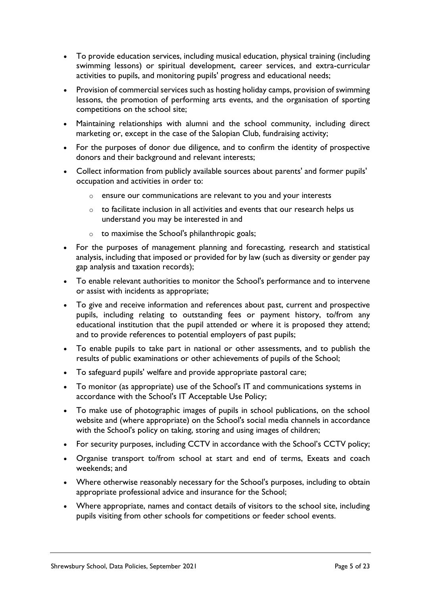- To provide education services, including musical education, physical training (including swimming lessons) or spiritual development, career services, and extra-curricular activities to pupils, and monitoring pupils' progress and educational needs;
- Provision of commercial services such as hosting holiday camps, provision of swimming lessons, the promotion of performing arts events, and the organisation of sporting competitions on the school site;
- Maintaining relationships with alumni and the school community, including direct marketing or, except in the case of the Salopian Club, fundraising activity;
- For the purposes of donor due diligence, and to confirm the identity of prospective donors and their background and relevant interests;
- Collect information from publicly available sources about parents' and former pupils' occupation and activities in order to:
	- o ensure our communications are relevant to you and your interests
	- o to facilitate inclusion in all activities and events that our research helps us understand you may be interested in and
	- o to maximise the School's philanthropic goals;
- For the purposes of management planning and forecasting, research and statistical analysis, including that imposed or provided for by law (such as diversity or gender pay gap analysis and taxation records);
- To enable relevant authorities to monitor the School's performance and to intervene or assist with incidents as appropriate;
- To give and receive information and references about past, current and prospective pupils, including relating to outstanding fees or payment history, to/from any educational institution that the pupil attended or where it is proposed they attend; and to provide references to potential employers of past pupils;
- To enable pupils to take part in national or other assessments, and to publish the results of public examinations or other achievements of pupils of the School;
- To safeguard pupils' welfare and provide appropriate pastoral care;
- To monitor (as appropriate) use of the School's IT and communications systems in accordance with the School's IT Acceptable Use Policy;
- To make use of photographic images of pupils in school publications, on the school website and (where appropriate) on the School's social media channels in accordance with the School's policy on taking, storing and using images of children;
- For security purposes, including CCTV in accordance with the School's CCTV policy;
- Organise transport to/from school at start and end of terms, Exeats and coach weekends; and
- Where otherwise reasonably necessary for the School's purposes, including to obtain appropriate professional advice and insurance for the School;
- Where appropriate, names and contact details of visitors to the school site, including pupils visiting from other schools for competitions or feeder school events.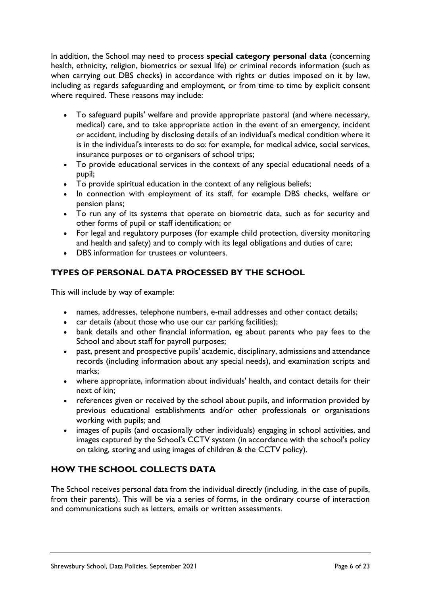In addition, the School may need to process **special category personal data** (concerning health, ethnicity, religion, biometrics or sexual life) or criminal records information (such as when carrying out DBS checks) in accordance with rights or duties imposed on it by law, including as regards safeguarding and employment, or from time to time by explicit consent where required. These reasons may include:

- To safeguard pupils' welfare and provide appropriate pastoral (and where necessary, medical) care, and to take appropriate action in the event of an emergency, incident or accident, including by disclosing details of an individual's medical condition where it is in the individual's interests to do so: for example, for medical advice, social services, insurance purposes or to organisers of school trips;
- To provide educational services in the context of any special educational needs of a pupil;
- To provide spiritual education in the context of any religious beliefs;
- In connection with employment of its staff, for example DBS checks, welfare or pension plans;
- To run any of its systems that operate on biometric data, such as for security and other forms of pupil or staff identification; or
- For legal and regulatory purposes (for example child protection, diversity monitoring and health and safety) and to comply with its legal obligations and duties of care;
- DBS information for trustees or volunteers

## **TYPES OF PERSONAL DATA PROCESSED BY THE SCHOOL**

This will include by way of example:

- names, addresses, telephone numbers, e-mail addresses and other contact details;
- car details (about those who use our car parking facilities);
- bank details and other financial information, eg about parents who pay fees to the School and about staff for payroll purposes;
- past, present and prospective pupils' academic, disciplinary, admissions and attendance records (including information about any special needs), and examination scripts and marks;
- where appropriate, information about individuals' health, and contact details for their next of kin;
- references given or received by the school about pupils, and information provided by previous educational establishments and/or other professionals or organisations working with pupils; and
- images of pupils (and occasionally other individuals) engaging in school activities, and images captured by the School's CCTV system (in accordance with the school's policy on taking, storing and using images of children & the CCTV policy).

## **HOW THE SCHOOL COLLECTS DATA**

The School receives personal data from the individual directly (including, in the case of pupils, from their parents). This will be via a series of forms, in the ordinary course of interaction and communications such as letters, emails or written assessments.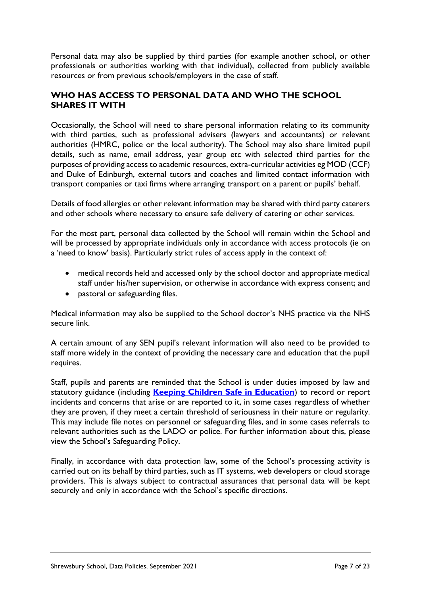Personal data may also be supplied by third parties (for example another school, or other professionals or authorities working with that individual), collected from publicly available resources or from previous schools/employers in the case of staff.

## **WHO HAS ACCESS TO PERSONAL DATA AND WHO THE SCHOOL SHARES IT WITH**

Occasionally, the School will need to share personal information relating to its community with third parties, such as professional advisers (lawyers and accountants) or relevant authorities (HMRC, police or the local authority). The School may also share limited pupil details, such as name, email address, year group etc with selected third parties for the purposes of providing access to academic resources, extra-curricular activities eg MOD (CCF) and Duke of Edinburgh, external tutors and coaches and limited contact information with transport companies or taxi firms where arranging transport on a parent or pupils' behalf.

Details of food allergies or other relevant information may be shared with third party caterers and other schools where necessary to ensure safe delivery of catering or other services.

For the most part, personal data collected by the School will remain within the School and will be processed by appropriate individuals only in accordance with access protocols (ie on a 'need to know' basis). Particularly strict rules of access apply in the context of:

- medical records held and accessed only by the school doctor and appropriate medical staff under his/her supervision, or otherwise in accordance with express consent; and
- pastoral or safeguarding files.

Medical information may also be supplied to the School doctor's NHS practice via the NHS secure link.

A certain amount of any SEN pupil's relevant information will also need to be provided to staff more widely in the context of providing the necessary care and education that the pupil requires.

Staff, pupils and parents are reminded that the School is under duties imposed by law and statutory guidance (including **[Keeping Children Safe in Education](https://www.gov.uk/government/publications/keeping-children-safe-in-education--2)**) to record or report incidents and concerns that arise or are reported to it, in some cases regardless of whether they are proven, if they meet a certain threshold of seriousness in their nature or regularity. This may include file notes on personnel or safeguarding files, and in some cases referrals to relevant authorities such as the LADO or police. For further information about this, please view the School's Safeguarding Policy.

Finally, in accordance with data protection law, some of the School's processing activity is carried out on its behalf by third parties, such as IT systems, web developers or cloud storage providers. This is always subject to contractual assurances that personal data will be kept securely and only in accordance with the School's specific directions.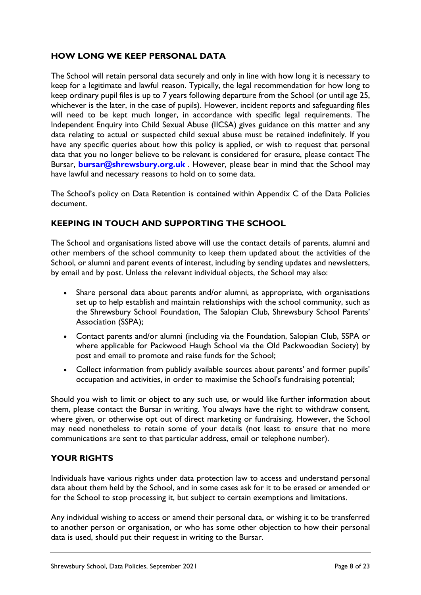## **HOW LONG WE KEEP PERSONAL DATA**

The School will retain personal data securely and only in line with how long it is necessary to keep for a legitimate and lawful reason. Typically, the legal recommendation for how long to keep ordinary pupil files is up to 7 years following departure from the School (or until age 25, whichever is the later, in the case of pupils). However, incident reports and safeguarding files will need to be kept much longer, in accordance with specific legal requirements. The Independent Enquiry into Child Sexual Abuse (IICSA) gives guidance on this matter and any data relating to actual or suspected child sexual abuse must be retained indefinitely. If you have any specific queries about how this policy is applied, or wish to request that personal data that you no longer believe to be relevant is considered for erasure, please contact The Bursar, **[bursar@shrewsbury.org.uk](mailto:bursar@shrewsbury.org.uk)** . However, please bear in mind that the School may have lawful and necessary reasons to hold on to some data.

The School's policy on Data Retention is contained within Appendix C of the Data Policies document.

## **KEEPING IN TOUCH AND SUPPORTING THE SCHOOL**

The School and organisations listed above will use the contact details of parents, alumni and other members of the school community to keep them updated about the activities of the School, or alumni and parent events of interest, including by sending updates and newsletters, by email and by post. Unless the relevant individual objects, the School may also:

- Share personal data about parents and/or alumni, as appropriate, with organisations set up to help establish and maintain relationships with the school community, such as the Shrewsbury School Foundation, The Salopian Club, Shrewsbury School Parents' Association (SSPA);
- Contact parents and/or alumni (including via the Foundation, Salopian Club, SSPA or where applicable for Packwood Haugh School via the Old Packwoodian Society) by post and email to promote and raise funds for the School;
- Collect information from publicly available sources about parents' and former pupils' occupation and activities, in order to maximise the School's fundraising potential;

Should you wish to limit or object to any such use, or would like further information about them, please contact the Bursar in writing. You always have the right to withdraw consent, where given, or otherwise opt out of direct marketing or fundraising. However, the School may need nonetheless to retain some of your details (not least to ensure that no more communications are sent to that particular address, email or telephone number).

## **YOUR RIGHTS**

Individuals have various rights under data protection law to access and understand personal data about them held by the School, and in some cases ask for it to be erased or amended or for the School to stop processing it, but subject to certain exemptions and limitations.

Any individual wishing to access or amend their personal data, or wishing it to be transferred to another person or organisation, or who has some other objection to how their personal data is used, should put their request in writing to the Bursar.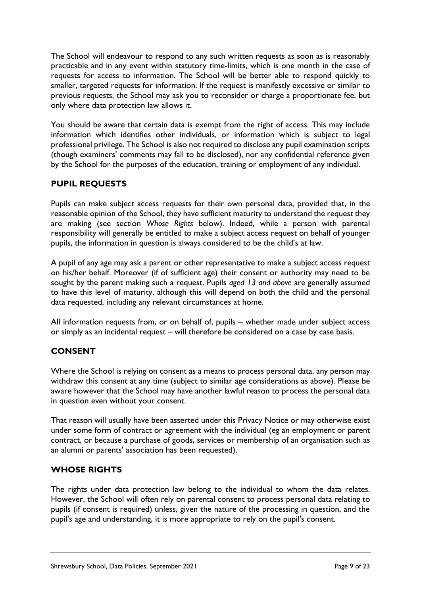The School will endeavour to respond to any such written requests as soon as is reasonably practicable and in any event within statutory time-limits, which is one month in the case of requests for access to information. The School will be better able to respond quickly to smaller, targeted requests for information. If the request is manifestly excessive or similar to previous requests, the School may ask you to reconsider or charge a proportionate fee, but only where data protection law allows it.

You should be aware that certain data is exempt from the right of access. This may include information which identifies other individuals, or information which is subject to legal professional privilege. The School is also not required to disclose any pupil examination scripts (though examiners' comments may fall to be disclosed), nor any confidential reference given by the School for the purposes of the education, training or employment of any individual.

## **PUPIL REQUESTS**

Pupils can make subject access requests for their own personal data, provided that, in the reasonable opinion of the School, they have sufficient maturity to understand the request they are making (see section *Whose Rights* below). Indeed, while a person with parental responsibility will generally be entitled to make a subject access request on behalf of younger pupils, the information in question is always considered to be the child's at law.

A pupil of any age may ask a parent or other representative to make a subject access request on his/her behalf. Moreover (if of sufficient age) their consent or authority may need to be sought by the parent making such a request. Pupils *aged 13 and above* are generally assumed to have this level of maturity, although this will depend on both the child and the personal data requested, including any relevant circumstances at home.

All information requests from, or on behalf of, pupils – whether made under subject access or simply as an incidental request – will therefore be considered on a case by case basis.

## **CONSENT**

Where the School is relying on consent as a means to process personal data, any person may withdraw this consent at any time (subject to similar age considerations as above). Please be aware however that the School may have another lawful reason to process the personal data in question even without your consent.

That reason will usually have been asserted under this Privacy Notice or may otherwise exist under some form of contract or agreement with the individual (eg an employment or parent contract, or because a purchase of goods, services or membership of an organisation such as an alumni or parents' association has been requested).

## **WHOSE RIGHTS**

The rights under data protection law belong to the individual to whom the data relates. However, the School will often rely on parental consent to process personal data relating to pupils (if consent is required) unless, given the nature of the processing in question, and the pupil's age and understanding, it is more appropriate to rely on the pupil's consent.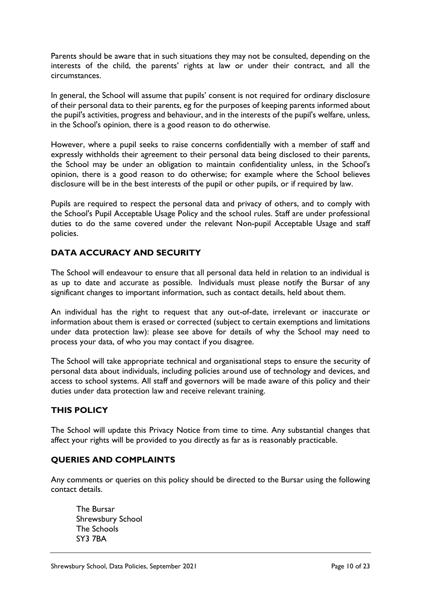Parents should be aware that in such situations they may not be consulted, depending on the interests of the child, the parents' rights at law or under their contract, and all the circumstances.

In general, the School will assume that pupils' consent is not required for ordinary disclosure of their personal data to their parents, eg for the purposes of keeping parents informed about the pupil's activities, progress and behaviour, and in the interests of the pupil's welfare, unless, in the School's opinion, there is a good reason to do otherwise.

However, where a pupil seeks to raise concerns confidentially with a member of staff and expressly withholds their agreement to their personal data being disclosed to their parents, the School may be under an obligation to maintain confidentiality unless, in the School's opinion, there is a good reason to do otherwise; for example where the School believes disclosure will be in the best interests of the pupil or other pupils, or if required by law.

Pupils are required to respect the personal data and privacy of others, and to comply with the School's Pupil Acceptable Usage Policy and the school rules. Staff are under professional duties to do the same covered under the relevant Non-pupil Acceptable Usage and staff policies.

## **DATA ACCURACY AND SECURITY**

The School will endeavour to ensure that all personal data held in relation to an individual is as up to date and accurate as possible. Individuals must please notify the Bursar of any significant changes to important information, such as contact details, held about them.

An individual has the right to request that any out-of-date, irrelevant or inaccurate or information about them is erased or corrected (subject to certain exemptions and limitations under data protection law): please see above for details of why the School may need to process your data, of who you may contact if you disagree.

The School will take appropriate technical and organisational steps to ensure the security of personal data about individuals, including policies around use of technology and devices, and access to school systems. All staff and governors will be made aware of this policy and their duties under data protection law and receive relevant training.

## **THIS POLICY**

The School will update this Privacy Notice from time to time. Any substantial changes that affect your rights will be provided to you directly as far as is reasonably practicable.

## **QUERIES AND COMPLAINTS**

Any comments or queries on this policy should be directed to the Bursar using the following contact details.

The Bursar Shrewsbury School The Schools SY3 7BA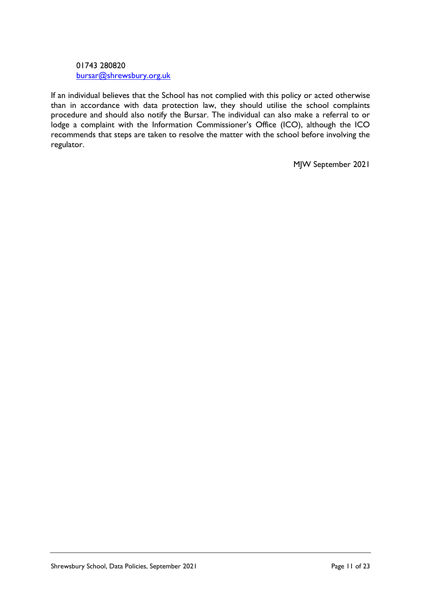#### 01743 280820 [bursar@shrewsbury.org.uk](mailto:bursar@shrewsbury.org.uk)

If an individual believes that the School has not complied with this policy or acted otherwise than in accordance with data protection law, they should utilise the school complaints procedure and should also notify the Bursar. The individual can also make a referral to or lodge a complaint with the Information Commissioner's Office (ICO), although the ICO recommends that steps are taken to resolve the matter with the school before involving the regulator.

MJW September 2021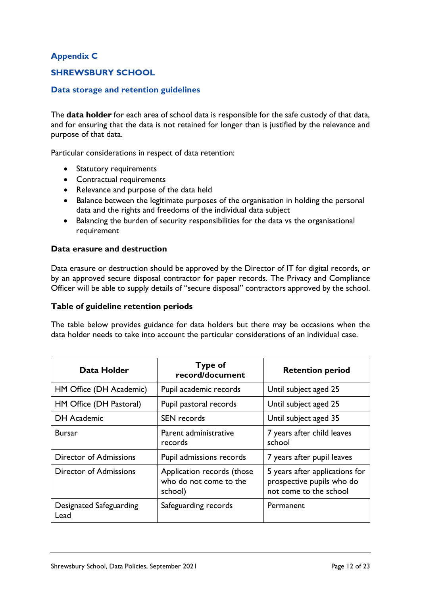## **Appendix C**

## **SHREWSBURY SCHOOL**

#### **Data storage and retention guidelines**

The **data holder** for each area of school data is responsible for the safe custody of that data, and for ensuring that the data is not retained for longer than is justified by the relevance and purpose of that data.

Particular considerations in respect of data retention:

- Statutory requirements
- Contractual requirements
- Relevance and purpose of the data held
- Balance between the legitimate purposes of the organisation in holding the personal data and the rights and freedoms of the individual data subject
- Balancing the burden of security responsibilities for the data vs the organisational requirement

#### **Data erasure and destruction**

Data erasure or destruction should be approved by the Director of IT for digital records, or by an approved secure disposal contractor for paper records. The Privacy and Compliance Officer will be able to supply details of "secure disposal" contractors approved by the school.

#### **Table of guideline retention periods**

The table below provides guidance for data holders but there may be occasions when the data holder needs to take into account the particular considerations of an individual case.

| Data Holder                     | <b>Type of</b><br>record/document                               | <b>Retention period</b>                                                               |
|---------------------------------|-----------------------------------------------------------------|---------------------------------------------------------------------------------------|
| HM Office (DH Academic)         | Pupil academic records                                          | Until subject aged 25                                                                 |
| HM Office (DH Pastoral)         | Pupil pastoral records                                          | Until subject aged 25                                                                 |
| <b>DH Academic</b>              | <b>SEN</b> records                                              | Until subject aged 35                                                                 |
| <b>Bursar</b>                   | Parent administrative<br>records                                | 7 years after child leaves<br>school                                                  |
| <b>Director of Admissions</b>   | Pupil admissions records                                        | 7 years after pupil leaves                                                            |
| <b>Director of Admissions</b>   | Application records (those<br>who do not come to the<br>school) | 5 years after applications for<br>prospective pupils who do<br>not come to the school |
| Designated Safeguarding<br>Lead | Safeguarding records                                            | Permanent                                                                             |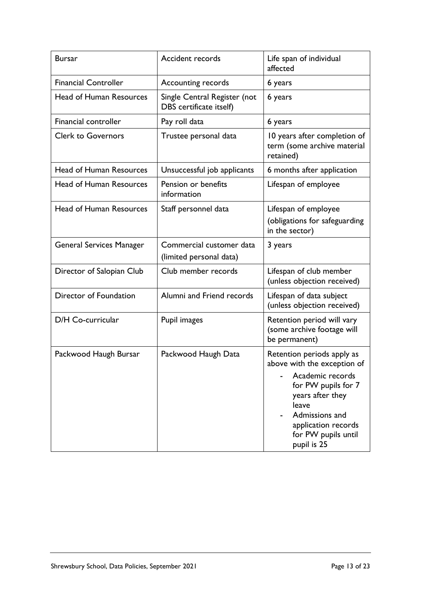| <b>Bursar</b>                   | <b>Accident records</b>                                 | Life span of individual<br>affected                                                                                                                                                                              |
|---------------------------------|---------------------------------------------------------|------------------------------------------------------------------------------------------------------------------------------------------------------------------------------------------------------------------|
| <b>Financial Controller</b>     | Accounting records                                      | 6 years                                                                                                                                                                                                          |
| <b>Head of Human Resources</b>  | Single Central Register (not<br>DBS certificate itself) | 6 years                                                                                                                                                                                                          |
| Financial controller            | Pay roll data                                           | 6 years                                                                                                                                                                                                          |
| <b>Clerk to Governors</b>       | Trustee personal data                                   | 10 years after completion of<br>term (some archive material<br>retained)                                                                                                                                         |
| <b>Head of Human Resources</b>  | Unsuccessful job applicants                             | 6 months after application                                                                                                                                                                                       |
| <b>Head of Human Resources</b>  | Pension or benefits<br>information                      | Lifespan of employee                                                                                                                                                                                             |
| <b>Head of Human Resources</b>  | Staff personnel data                                    | Lifespan of employee<br>(obligations for safeguarding<br>in the sector)                                                                                                                                          |
| <b>General Services Manager</b> | Commercial customer data<br>(limited personal data)     | 3 years                                                                                                                                                                                                          |
| Director of Salopian Club       | Club member records                                     | Lifespan of club member<br>(unless objection received)                                                                                                                                                           |
| Director of Foundation          | Alumni and Friend records                               | Lifespan of data subject<br>(unless objection received)                                                                                                                                                          |
| D/H Co-curricular               | Pupil images                                            | Retention period will vary<br>(some archive footage will<br>be permanent)                                                                                                                                        |
| Packwood Haugh Bursar           | Packwood Haugh Data                                     | Retention periods apply as<br>above with the exception of<br>Academic records<br>for PW pupils for 7<br>years after they<br>leave<br>Admissions and<br>application records<br>for PW pupils until<br>pupil is 25 |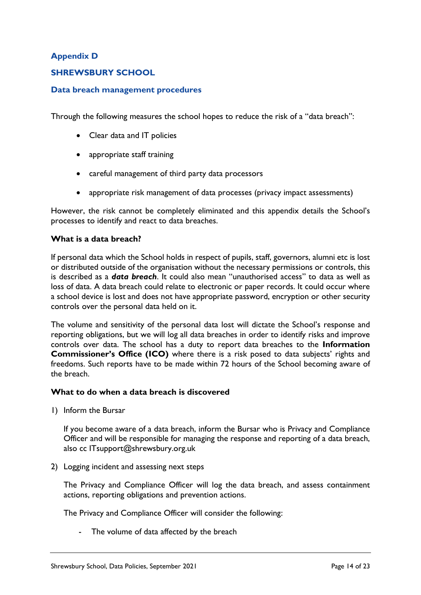## **Appendix D**

## **SHREWSBURY SCHOOL**

#### **Data breach management procedures**

Through the following measures the school hopes to reduce the risk of a "data breach":

- Clear data and IT policies
- appropriate staff training
- careful management of third party data processors
- appropriate risk management of data processes (privacy impact assessments)

However, the risk cannot be completely eliminated and this appendix details the School's processes to identify and react to data breaches.

#### **What is a data breach?**

If personal data which the School holds in respect of pupils, staff, governors, alumni etc is lost or distributed outside of the organisation without the necessary permissions or controls, this is described as a *data breach*. It could also mean "unauthorised access" to data as well as loss of data. A data breach could relate to electronic or paper records. It could occur where a school device is lost and does not have appropriate password, encryption or other security controls over the personal data held on it.

The volume and sensitivity of the personal data lost will dictate the School's response and reporting obligations, but we will log all data breaches in order to identify risks and improve controls over data. The school has a duty to report data breaches to the **Information Commissioner's Office (ICO)** where there is a risk posed to data subjects' rights and freedoms. Such reports have to be made within 72 hours of the School becoming aware of the breach.

#### **What to do when a data breach is discovered**

1) Inform the Bursar

If you become aware of a data breach, inform the Bursar who is Privacy and Compliance Officer and will be responsible for managing the response and reporting of a data breach, also cc ITsupport@shrewsbury.org.uk

2) Logging incident and assessing next steps

The Privacy and Compliance Officer will log the data breach, and assess containment actions, reporting obligations and prevention actions.

The Privacy and Compliance Officer will consider the following:

- The volume of data affected by the breach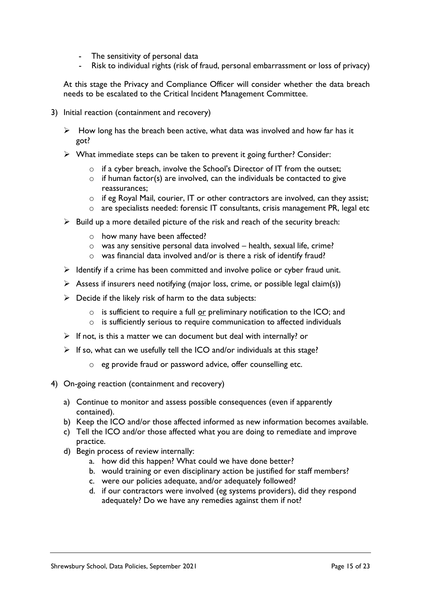- The sensitivity of personal data
- Risk to individual rights (risk of fraud, personal embarrassment or loss of privacy)

At this stage the Privacy and Compliance Officer will consider whether the data breach needs to be escalated to the Critical Incident Management Committee.

- 3) Initial reaction (containment and recovery)
	- $\triangleright$  How long has the breach been active, what data was involved and how far has it got?
	- ➢ What immediate steps can be taken to prevent it going further? Consider:
		- o if a cyber breach, involve the School's Director of IT from the outset;
		- $\circ$  if human factor(s) are involved, can the individuals be contacted to give reassurances;
		- $\circ$  if eg Royal Mail, courier, IT or other contractors are involved, can they assist;
		- o are specialists needed: forensic IT consultants, crisis management PR, legal etc
	- $\triangleright$  Build up a more detailed picture of the risk and reach of the security breach:
		- o how many have been affected?
		- o was any sensitive personal data involved health, sexual life, crime?
		- o was financial data involved and/or is there a risk of identify fraud?
	- $\triangleright$  Identify if a crime has been committed and involve police or cyber fraud unit.
	- $\triangleright$  Assess if insurers need notifying (major loss, crime, or possible legal claim(s))
	- $\triangleright$  Decide if the likely risk of harm to the data subjects:
		- o is sufficient to require a full or preliminary notification to the ICO; and
		- $\circ$  is sufficiently serious to require communication to affected individuals
	- $\triangleright$  If not, is this a matter we can document but deal with internally? or
	- $\triangleright$  If so, what can we usefully tell the ICO and/or individuals at this stage?
		- o eg provide fraud or password advice, offer counselling etc.
- 4) On-going reaction (containment and recovery)
	- a) Continue to monitor and assess possible consequences (even if apparently contained).
	- b) Keep the ICO and/or those affected informed as new information becomes available.
	- c) Tell the ICO and/or those affected what you are doing to remediate and improve practice.
	- d) Begin process of review internally:
		- a. how did this happen? What could we have done better?
		- b. would training or even disciplinary action be justified for staff members?
		- c. were our policies adequate, and/or adequately followed?
		- d. if our contractors were involved (eg systems providers), did they respond adequately? Do we have any remedies against them if not?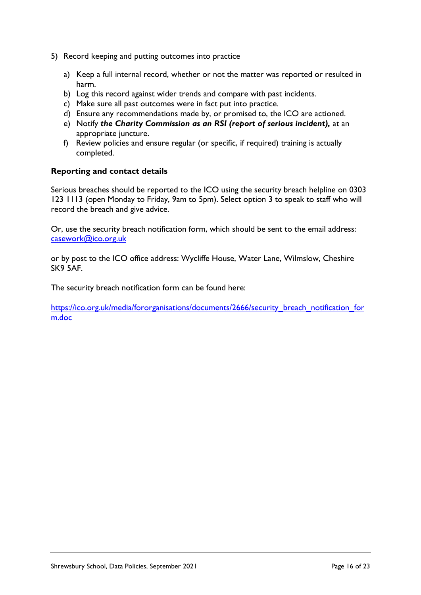- 5) Record keeping and putting outcomes into practice
	- a) Keep a full internal record, whether or not the matter was reported or resulted in harm.
	- b) Log this record against wider trends and compare with past incidents.
	- c) Make sure all past outcomes were in fact put into practice.
	- d) Ensure any recommendations made by, or promised to, the ICO are actioned.
	- e) Notify *the Charity Commission as an RSI (report of serious incident),* at an appropriate juncture.
	- f) Review policies and ensure regular (or specific, if required) training is actually completed.

#### **Reporting and contact details**

Serious breaches should be reported to the ICO using the security breach helpline on 0303 123 1113 (open Monday to Friday, 9am to 5pm). Select option 3 to speak to staff who will record the breach and give advice.

Or, use the security breach notification form, which should be sent to the email address: [casework@ico.org.uk](mailto:casework@ico.org.uk)

or by post to the ICO office address: Wycliffe House, Water Lane, Wilmslow, Cheshire SK9 5AF.

The security breach notification form can be found here:

[https://ico.org.uk/media/fororganisations/documents/2666/security\\_breach\\_notification\\_for](https://ico.org.uk/media/fororganisations/documents/2666/security_breach_notification_form.doc) [m.doc](https://ico.org.uk/media/fororganisations/documents/2666/security_breach_notification_form.doc)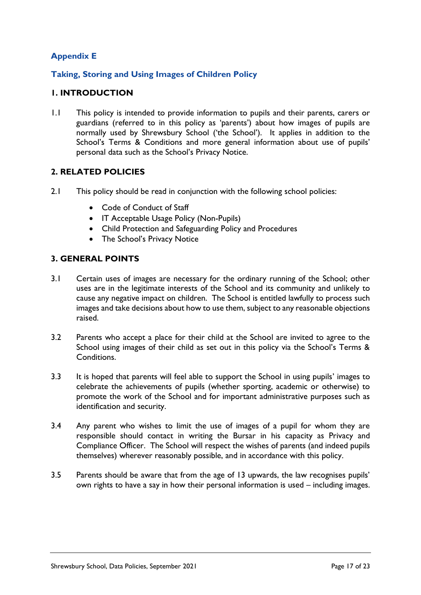## **Appendix E**

## **Taking, Storing and Using Images of Children Policy**

## **1. INTRODUCTION**

1.1 This policy is intended to provide information to pupils and their parents, carers or guardians (referred to in this policy as 'parents') about how images of pupils are normally used by Shrewsbury School ('the School'). It applies in addition to the School's Terms & Conditions and more general information about use of pupils' personal data such as the School's Privacy Notice.

## **2. RELATED POLICIES**

- 2.1 This policy should be read in conjunction with the following school policies:
	- Code of Conduct of Staff
	- IT Acceptable Usage Policy (Non-Pupils)
	- Child Protection and Safeguarding Policy and Procedures
	- The School's Privacy Notice

## **3. GENERAL POINTS**

- 3.1 Certain uses of images are necessary for the ordinary running of the School; other uses are in the legitimate interests of the School and its community and unlikely to cause any negative impact on children. The School is entitled lawfully to process such images and take decisions about how to use them, subject to any reasonable objections raised.
- 3.2 Parents who accept a place for their child at the School are invited to agree to the School using images of their child as set out in this policy via the School's Terms & Conditions.
- 3.3 It is hoped that parents will feel able to support the School in using pupils' images to celebrate the achievements of pupils (whether sporting, academic or otherwise) to promote the work of the School and for important administrative purposes such as identification and security.
- 3.4 Any parent who wishes to limit the use of images of a pupil for whom they are responsible should contact in writing the Bursar in his capacity as Privacy and Compliance Officer. The School will respect the wishes of parents (and indeed pupils themselves) wherever reasonably possible, and in accordance with this policy.
- 3.5 Parents should be aware that from the age of 13 upwards, the law recognises pupils' own rights to have a say in how their personal information is used – including images.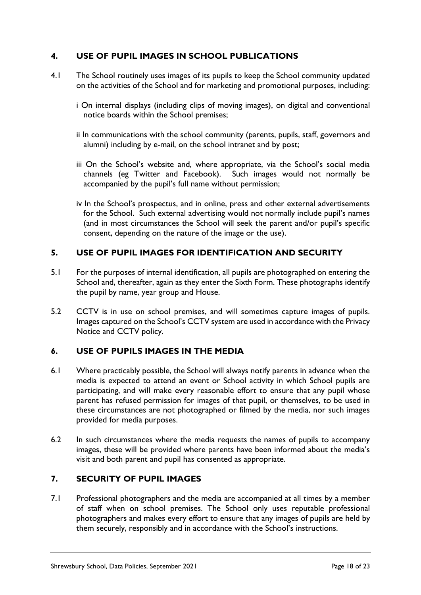## **4. USE OF PUPIL IMAGES IN SCHOOL PUBLICATIONS**

- 4.1 The School routinely uses images of its pupils to keep the School community updated on the activities of the School and for marketing and promotional purposes, including:
	- i On internal displays (including clips of moving images), on digital and conventional notice boards within the School premises;
	- ii In communications with the school community (parents, pupils, staff, governors and alumni) including by e-mail, on the school intranet and by post;
	- iii On the School's website and, where appropriate, via the School's social media channels (eg Twitter and Facebook). Such images would not normally be accompanied by the pupil's full name without permission;
	- iv In the School's prospectus, and in online, press and other external advertisements for the School. Such external advertising would not normally include pupil's names (and in most circumstances the School will seek the parent and/or pupil's specific consent, depending on the nature of the image or the use).

## **5. USE OF PUPIL IMAGES FOR IDENTIFICATION AND SECURITY**

- 5.1 For the purposes of internal identification, all pupils are photographed on entering the School and, thereafter, again as they enter the Sixth Form. These photographs identify the pupil by name, year group and House.
- 5.2 CCTV is in use on school premises, and will sometimes capture images of pupils. Images captured on the School's CCTV system are used in accordance with the Privacy Notice and CCTV policy.

## **6. USE OF PUPILS IMAGES IN THE MEDIA**

- 6.1 Where practicably possible, the School will always notify parents in advance when the media is expected to attend an event or School activity in which School pupils are participating, and will make every reasonable effort to ensure that any pupil whose parent has refused permission for images of that pupil, or themselves, to be used in these circumstances are not photographed or filmed by the media, nor such images provided for media purposes.
- 6.2 In such circumstances where the media requests the names of pupils to accompany images, these will be provided where parents have been informed about the media's visit and both parent and pupil has consented as appropriate.

## **7. SECURITY OF PUPIL IMAGES**

7.1 Professional photographers and the media are accompanied at all times by a member of staff when on school premises. The School only uses reputable professional photographers and makes every effort to ensure that any images of pupils are held by them securely, responsibly and in accordance with the School's instructions.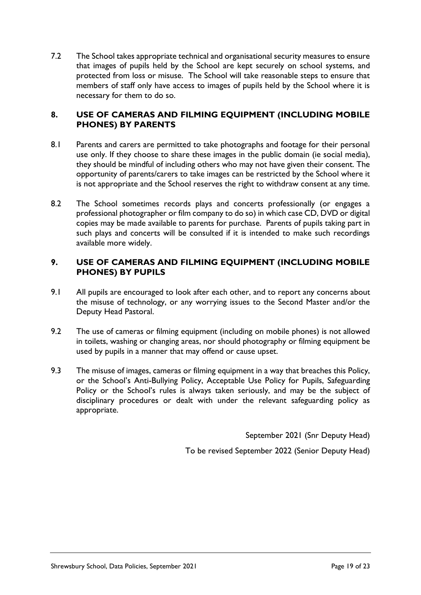7.2 The School takes appropriate technical and organisational security measures to ensure that images of pupils held by the School are kept securely on school systems, and protected from loss or misuse. The School will take reasonable steps to ensure that members of staff only have access to images of pupils held by the School where it is necessary for them to do so.

## **8. USE OF CAMERAS AND FILMING EQUIPMENT (INCLUDING MOBILE PHONES) BY PARENTS**

- 8.1 Parents and carers are permitted to take photographs and footage for their personal use only. If they choose to share these images in the public domain (ie social media), they should be mindful of including others who may not have given their consent. The opportunity of parents/carers to take images can be restricted by the School where it is not appropriate and the School reserves the right to withdraw consent at any time.
- 8.2 The School sometimes records plays and concerts professionally (or engages a professional photographer or film company to do so) in which case CD, DVD or digital copies may be made available to parents for purchase. Parents of pupils taking part in such plays and concerts will be consulted if it is intended to make such recordings available more widely.

#### **9. USE OF CAMERAS AND FILMING EQUIPMENT (INCLUDING MOBILE PHONES) BY PUPILS**

- 9.1 All pupils are encouraged to look after each other, and to report any concerns about the misuse of technology, or any worrying issues to the Second Master and/or the Deputy Head Pastoral.
- 9.2 The use of cameras or filming equipment (including on mobile phones) is not allowed in toilets, washing or changing areas, nor should photography or filming equipment be used by pupils in a manner that may offend or cause upset.
- 9.3 The misuse of images, cameras or filming equipment in a way that breaches this Policy, or the School's Anti-Bullying Policy, Acceptable Use Policy for Pupils, Safeguarding Policy or the School's rules is always taken seriously, and may be the subject of disciplinary procedures or dealt with under the relevant safeguarding policy as appropriate.

September 2021 (Snr Deputy Head)

To be revised September 2022 (Senior Deputy Head)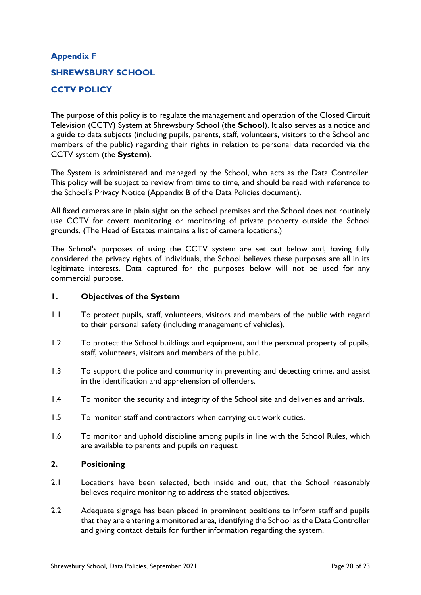# **Appendix F SHREWSBURY SCHOOL CCTV POLICY**

The purpose of this policy is to regulate the management and operation of the Closed Circuit Television (CCTV) System at Shrewsbury School (the **School**). It also serves as a notice and a guide to data subjects (including pupils, parents, staff, volunteers, visitors to the School and members of the public) regarding their rights in relation to personal data recorded via the CCTV system (the **System**).

The System is administered and managed by the School, who acts as the Data Controller. This policy will be subject to review from time to time, and should be read with reference to the School's Privacy Notice (Appendix B of the Data Policies document).

All fixed cameras are in plain sight on the school premises and the School does not routinely use CCTV for covert monitoring or monitoring of private property outside the School grounds. (The Head of Estates maintains a list of camera locations.)

The School's purposes of using the CCTV system are set out below and, having fully considered the privacy rights of individuals, the School believes these purposes are all in its legitimate interests. Data captured for the purposes below will not be used for any commercial purpose.

#### **1. Objectives of the System**

- 1.1 To protect pupils, staff, volunteers, visitors and members of the public with regard to their personal safety (including management of vehicles).
- 1.2 To protect the School buildings and equipment, and the personal property of pupils, staff, volunteers, visitors and members of the public.
- 1.3 To support the police and community in preventing and detecting crime, and assist in the identification and apprehension of offenders.
- 1.4 To monitor the security and integrity of the School site and deliveries and arrivals.
- 1.5 To monitor staff and contractors when carrying out work duties.
- 1.6 To monitor and uphold discipline among pupils in line with the School Rules, which are available to parents and pupils on request.

## **2. Positioning**

- 2.1 Locations have been selected, both inside and out, that the School reasonably believes require monitoring to address the stated objectives.
- 2.2 Adequate signage has been placed in prominent positions to inform staff and pupils that they are entering a monitored area, identifying the School as the Data Controller and giving contact details for further information regarding the system.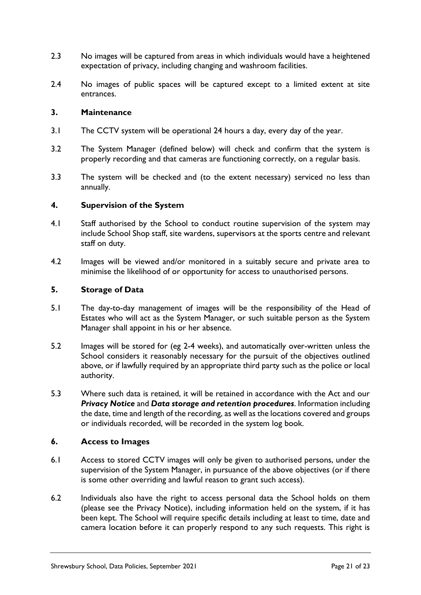- 2.3 No images will be captured from areas in which individuals would have a heightened expectation of privacy, including changing and washroom facilities.
- 2.4 No images of public spaces will be captured except to a limited extent at site entrances.

#### **3. Maintenance**

- 3.1 The CCTV system will be operational 24 hours a day, every day of the year.
- 3.2 The System Manager (defined below) will check and confirm that the system is properly recording and that cameras are functioning correctly, on a regular basis.
- 3.3 The system will be checked and (to the extent necessary) serviced no less than annually.

#### **4. Supervision of the System**

- 4.1 Staff authorised by the School to conduct routine supervision of the system may include School Shop staff, site wardens, supervisors at the sports centre and relevant staff on duty.
- 4.2 Images will be viewed and/or monitored in a suitably secure and private area to minimise the likelihood of or opportunity for access to unauthorised persons.

#### **5. Storage of Data**

- 5.1 The day-to-day management of images will be the responsibility of the Head of Estates who will act as the System Manager, or such suitable person as the System Manager shall appoint in his or her absence.
- 5.2 Images will be stored for (eg 2-4 weeks), and automatically over-written unless the School considers it reasonably necessary for the pursuit of the objectives outlined above, or if lawfully required by an appropriate third party such as the police or local authority.
- 5.3 Where such data is retained, it will be retained in accordance with the Act and our *Privacy Notice* and *Data storage and retention procedures*. Information including the date, time and length of the recording, as well as the locations covered and groups or individuals recorded, will be recorded in the system log book.

#### **6. Access to Images**

- 6.1 Access to stored CCTV images will only be given to authorised persons, under the supervision of the System Manager, in pursuance of the above objectives (or if there is some other overriding and lawful reason to grant such access).
- 6.2 Individuals also have the right to access personal data the School holds on them (please see the Privacy Notice), including information held on the system, if it has been kept. The School will require specific details including at least to time, date and camera location before it can properly respond to any such requests. This right is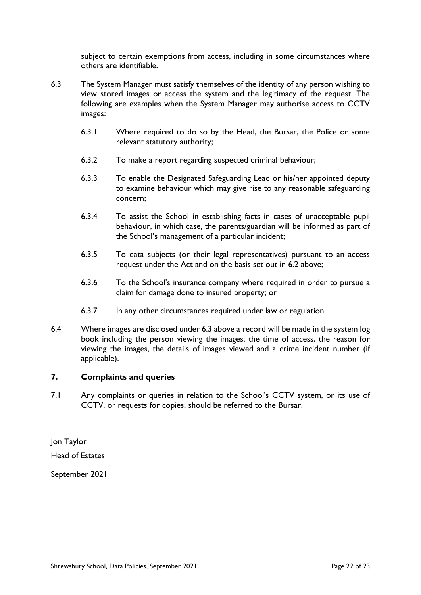subject to certain exemptions from access, including in some circumstances where others are identifiable.

- 6.3 The System Manager must satisfy themselves of the identity of any person wishing to view stored images or access the system and the legitimacy of the request. The following are examples when the System Manager may authorise access to CCTV images:
	- 6.3.1 Where required to do so by the Head, the Bursar, the Police or some relevant statutory authority;
	- 6.3.2 To make a report regarding suspected criminal behaviour;
	- 6.3.3 To enable the Designated Safeguarding Lead or his/her appointed deputy to examine behaviour which may give rise to any reasonable safeguarding concern;
	- 6.3.4 To assist the School in establishing facts in cases of unacceptable pupil behaviour, in which case, the parents/guardian will be informed as part of the School's management of a particular incident;
	- 6.3.5 To data subjects (or their legal representatives) pursuant to an access request under the Act and on the basis set out in 6.2 above;
	- 6.3.6 To the School's insurance company where required in order to pursue a claim for damage done to insured property; or
	- 6.3.7 In any other circumstances required under law or regulation.
- 6.4 Where images are disclosed under 6.3 above a record will be made in the system log book including the person viewing the images, the time of access, the reason for viewing the images, the details of images viewed and a crime incident number (if applicable).

## **7. Complaints and queries**

7.1 Any complaints or queries in relation to the School's CCTV system, or its use of CCTV, or requests for copies, should be referred to the Bursar.

Jon Taylor Head of Estates

September 2021